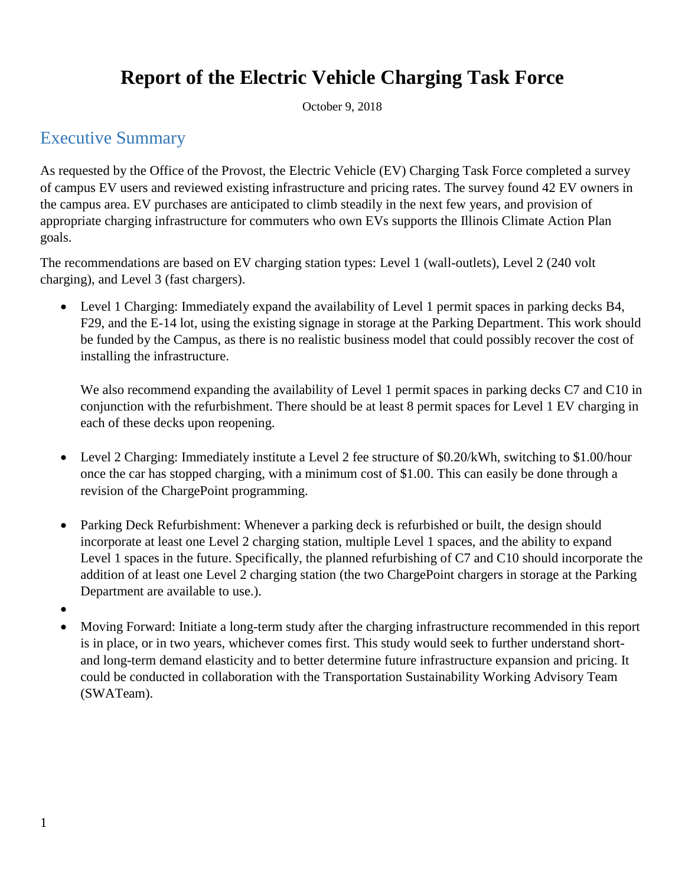# **Report of the Electric Vehicle Charging Task Force**

October 9, 2018

### Executive Summary

As requested by the Office of the Provost, the Electric Vehicle (EV) Charging Task Force completed a survey of campus EV users and reviewed existing infrastructure and pricing rates. The survey found 42 EV owners in the campus area. EV purchases are anticipated to climb steadily in the next few years, and provision of appropriate charging infrastructure for commuters who own EVs supports the Illinois Climate Action Plan goals.

The recommendations are based on EV charging station types: Level 1 (wall-outlets), Level 2 (240 volt charging), and Level 3 (fast chargers).

 Level 1 Charging: Immediately expand the availability of Level 1 permit spaces in parking decks B4, F29, and the E-14 lot, using the existing signage in storage at the Parking Department. This work should be funded by the Campus, as there is no realistic business model that could possibly recover the cost of installing the infrastructure.

We also recommend expanding the availability of Level 1 permit spaces in parking decks C7 and C10 in conjunction with the refurbishment. There should be at least 8 permit spaces for Level 1 EV charging in each of these decks upon reopening.

- Level 2 Charging: Immediately institute a Level 2 fee structure of \$0.20/kWh, switching to \$1.00/hour once the car has stopped charging, with a minimum cost of \$1.00. This can easily be done through a revision of the ChargePoint programming.
- Parking Deck Refurbishment: Whenever a parking deck is refurbished or built, the design should incorporate at least one Level 2 charging station, multiple Level 1 spaces, and the ability to expand Level 1 spaces in the future. Specifically, the planned refurbishing of C7 and C10 should incorporate the addition of at least one Level 2 charging station (the two ChargePoint chargers in storage at the Parking Department are available to use.).
- $\bullet$
- Moving Forward: Initiate a long-term study after the charging infrastructure recommended in this report is in place, or in two years, whichever comes first. This study would seek to further understand shortand long-term demand elasticity and to better determine future infrastructure expansion and pricing. It could be conducted in collaboration with the Transportation Sustainability Working Advisory Team (SWATeam).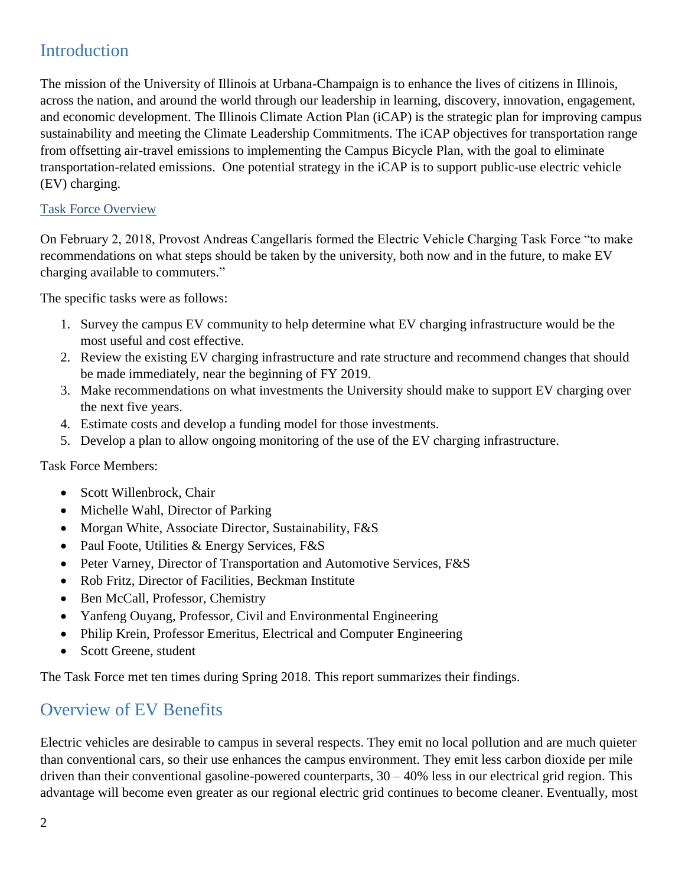## Introduction

The mission of the University of Illinois at Urbana-Champaign is to enhance the lives of citizens in Illinois, across the nation, and around the world through our leadership in learning, discovery, innovation, engagement, and economic development. The Illinois Climate Action Plan (iCAP) is the strategic plan for improving campus sustainability and meeting the Climate Leadership Commitments. The iCAP objectives for transportation range from offsetting air-travel emissions to implementing the Campus Bicycle Plan, with the goal to eliminate transportation-related emissions. One potential strategy in the iCAP is to support public-use electric vehicle (EV) charging.

#### Task Force Overview

On February 2, 2018, Provost Andreas Cangellaris formed the Electric Vehicle Charging Task Force "to make recommendations on what steps should be taken by the university, both now and in the future, to make EV charging available to commuters."

The specific tasks were as follows:

- 1. Survey the campus EV community to help determine what EV charging infrastructure would be the most useful and cost effective.
- 2. Review the existing EV charging infrastructure and rate structure and recommend changes that should be made immediately, near the beginning of FY 2019.
- 3. Make recommendations on what investments the University should make to support EV charging over the next five years.
- 4. Estimate costs and develop a funding model for those investments.
- 5. Develop a plan to allow ongoing monitoring of the use of the EV charging infrastructure.

Task Force Members:

- Scott Willenbrock, Chair
- Michelle Wahl, Director of Parking
- Morgan White, Associate Director, Sustainability, F&S
- Paul Foote, Utilities & Energy Services, F&S
- Peter Varney, Director of Transportation and Automotive Services, F&S
- Rob Fritz, Director of Facilities, Beckman Institute
- Ben McCall, Professor, Chemistry
- Yanfeng Ouyang, Professor, Civil and Environmental Engineering
- Philip Krein, Professor Emeritus, Electrical and Computer Engineering
- Scott Greene, student

The Task Force met ten times during Spring 2018. This report summarizes their findings.

### Overview of EV Benefits

Electric vehicles are desirable to campus in several respects. They emit no local pollution and are much quieter than conventional cars, so their use enhances the campus environment. They emit less carbon dioxide per mile driven than their conventional gasoline-powered counterparts,  $30 - 40\%$  less in our electrical grid region. This advantage will become even greater as our regional electric grid continues to become cleaner. Eventually, most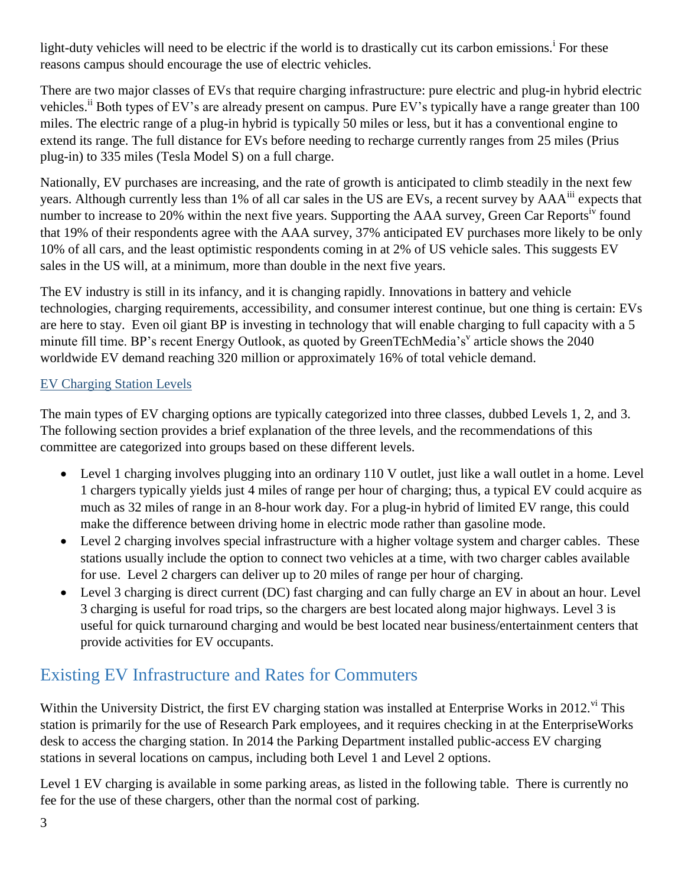light-duty vehicles will need to be electric if the world is to drastically cut its carbon emissions.<sup>i</sup> For these reasons campus should encourage the use of electric vehicles.

There are two major classes of EVs that require charging infrastructure: pure electric and plug-in hybrid electric vehicles.<sup>ii</sup> Both types of EV's are already present on campus. Pure EV's typically have a range greater than 100 miles. The electric range of a plug-in hybrid is typically 50 miles or less, but it has a conventional engine to extend its range. The full distance for EVs before needing to recharge currently ranges from 25 miles (Prius plug-in) to 335 miles (Tesla Model S) on a full charge.

Nationally, EV purchases are increasing, and the rate of growth is anticipated to climb steadily in the next few years. Although currently less than 1% of all car sales in the US are EVs, a recent survey by AAA<sup>iii</sup> expects that number to increase to 20% within the next five years. Supporting the AAA survey, Green Car Reports<sup>iv</sup> found that 19% of their respondents agree with the AAA survey, 37% anticipated EV purchases more likely to be only 10% of all cars, and the least optimistic respondents coming in at 2% of US vehicle sales. This suggests EV sales in the US will, at a minimum, more than double in the next five years.

The EV industry is still in its infancy, and it is changing rapidly. Innovations in battery and vehicle technologies, charging requirements, accessibility, and consumer interest continue, but one thing is certain: EVs are here to stay. Even oil giant BP is investing in technology that will enable charging to full capacity with a 5 minute fill time. BP's recent Energy Outlook, as quoted by GreenTEchMedia's' article shows the 2040 worldwide EV demand reaching 320 million or approximately 16% of total vehicle demand.

#### EV Charging Station Levels

The main types of EV charging options are typically categorized into three classes, dubbed Levels 1, 2, and 3. The following section provides a brief explanation of the three levels, and the recommendations of this committee are categorized into groups based on these different levels.

- Level 1 charging involves plugging into an ordinary 110 V outlet, just like a wall outlet in a home. Level 1 chargers typically yields just 4 miles of range per hour of charging; thus, a typical EV could acquire as much as 32 miles of range in an 8-hour work day. For a plug-in hybrid of limited EV range, this could make the difference between driving home in electric mode rather than gasoline mode.
- Level 2 charging involves special infrastructure with a higher voltage system and charger cables. These stations usually include the option to connect two vehicles at a time, with two charger cables available for use. Level 2 chargers can deliver up to 20 miles of range per hour of charging.
- Level 3 charging is direct current (DC) fast charging and can fully charge an EV in about an hour. Level 3 charging is useful for road trips, so the chargers are best located along major highways. Level 3 is useful for quick turnaround charging and would be best located near business/entertainment centers that provide activities for EV occupants.

## Existing EV Infrastructure and Rates for Commuters

Within the University District, the first EV charging station was installed at Enterprise Works in 2012.<sup>vi</sup> This station is primarily for the use of Research Park employees, and it requires checking in at the EnterpriseWorks desk to access the charging station. In 2014 the Parking Department installed public-access EV charging stations in several locations on campus, including both Level 1 and Level 2 options.

Level 1 EV charging is available in some parking areas, as listed in the following table. There is currently no fee for the use of these chargers, other than the normal cost of parking.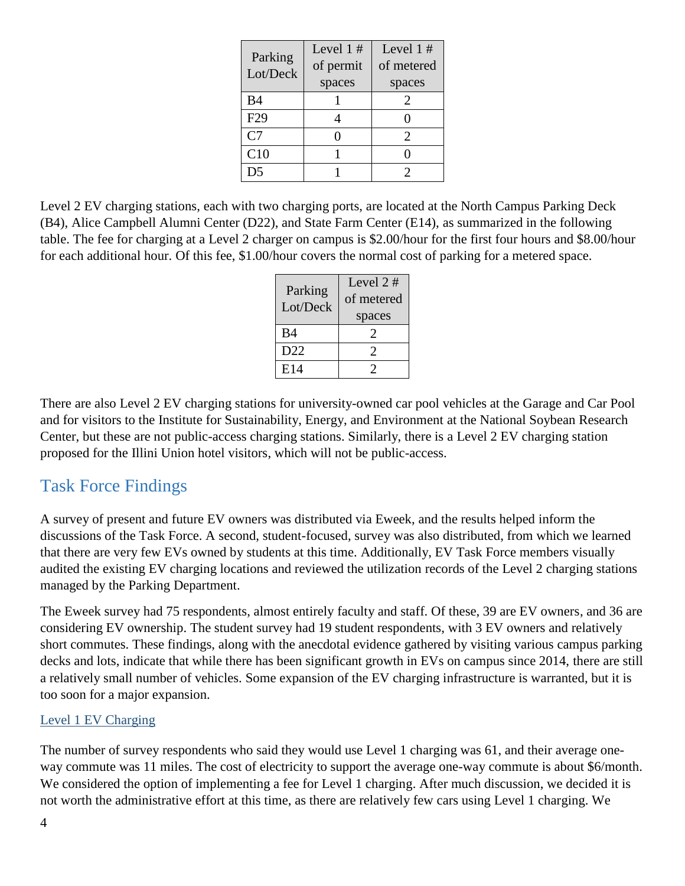| Parking         | Level $1#$ | Level $1#$                  |
|-----------------|------------|-----------------------------|
| Lot/Deck        | of permit  | of metered                  |
|                 | spaces     | spaces                      |
| <b>B4</b>       |            | 2                           |
| F <sub>29</sub> |            |                             |
| C <sub>7</sub>  | ⋂          | $\mathcal{D}_{\mathcal{L}}$ |
| C10             |            |                             |
| D <sub>5</sub>  |            | っ                           |

Level 2 EV charging stations, each with two charging ports, are located at the North Campus Parking Deck (B4), Alice Campbell Alumni Center (D22), and State Farm Center (E14), as summarized in the following table. The fee for charging at a Level 2 charger on campus is \$2.00/hour for the first four hours and \$8.00/hour for each additional hour. Of this fee, \$1.00/hour covers the normal cost of parking for a metered space.

| Parking<br>Lot/Deck | Level $2#$<br>of metered<br>spaces |  |
|---------------------|------------------------------------|--|
| <b>B4</b>           |                                    |  |
| D22                 | 2                                  |  |
| E14                 |                                    |  |

There are also Level 2 EV charging stations for university-owned car pool vehicles at the Garage and Car Pool and for visitors to the Institute for Sustainability, Energy, and Environment at the National Soybean Research Center, but these are not public-access charging stations. Similarly, there is a Level 2 EV charging station proposed for the Illini Union hotel visitors, which will not be public-access.

### Task Force Findings

A survey of present and future EV owners was distributed via Eweek, and the results helped inform the discussions of the Task Force. A second, student-focused, survey was also distributed, from which we learned that there are very few EVs owned by students at this time. Additionally, EV Task Force members visually audited the existing EV charging locations and reviewed the utilization records of the Level 2 charging stations managed by the Parking Department.

The Eweek survey had 75 respondents, almost entirely faculty and staff. Of these, 39 are EV owners, and 36 are considering EV ownership. The student survey had 19 student respondents, with 3 EV owners and relatively short commutes. These findings, along with the anecdotal evidence gathered by visiting various campus parking decks and lots, indicate that while there has been significant growth in EVs on campus since 2014, there are still a relatively small number of vehicles. Some expansion of the EV charging infrastructure is warranted, but it is too soon for a major expansion.

#### Level 1 EV Charging

The number of survey respondents who said they would use Level 1 charging was 61, and their average oneway commute was 11 miles. The cost of electricity to support the average one-way commute is about \$6/month. We considered the option of implementing a fee for Level 1 charging. After much discussion, we decided it is not worth the administrative effort at this time, as there are relatively few cars using Level 1 charging. We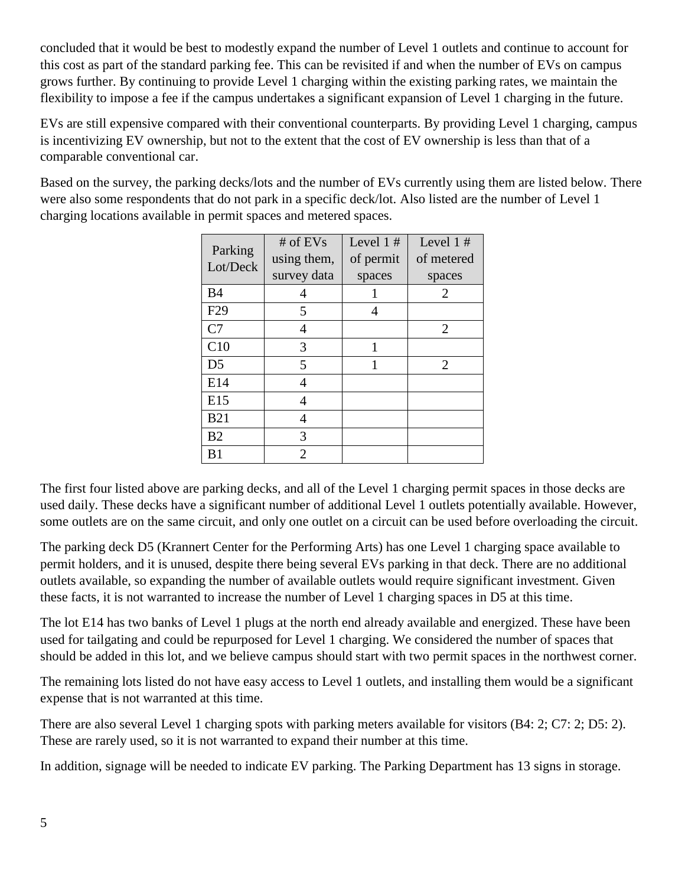concluded that it would be best to modestly expand the number of Level 1 outlets and continue to account for this cost as part of the standard parking fee. This can be revisited if and when the number of EVs on campus grows further. By continuing to provide Level 1 charging within the existing parking rates, we maintain the flexibility to impose a fee if the campus undertakes a significant expansion of Level 1 charging in the future.

EVs are still expensive compared with their conventional counterparts. By providing Level 1 charging, campus is incentivizing EV ownership, but not to the extent that the cost of EV ownership is less than that of a comparable conventional car.

Based on the survey, the parking decks/lots and the number of EVs currently using them are listed below. There were also some respondents that do not park in a specific deck/lot. Also listed are the number of Level 1 charging locations available in permit spaces and metered spaces.

| Parking<br>Lot/Deck | # of $EVs$<br>using them, | Level $1#$<br>of permit | Level $1#$<br>of metered |
|---------------------|---------------------------|-------------------------|--------------------------|
|                     | survey data               | spaces                  | spaces                   |
| B <sub>4</sub>      | 4                         | 1                       | 2                        |
| F <sub>29</sub>     | 5                         | 4                       |                          |
| C <sub>7</sub>      | 4                         |                         | 2                        |
| C10                 | 3                         | 1                       |                          |
| D <sub>5</sub>      | 5                         | 1                       | 2                        |
| E14                 | 4                         |                         |                          |
| E15                 | 4                         |                         |                          |
| <b>B21</b>          | 4                         |                         |                          |
| B <sub>2</sub>      | 3                         |                         |                          |
| B1                  | 2                         |                         |                          |

The first four listed above are parking decks, and all of the Level 1 charging permit spaces in those decks are used daily. These decks have a significant number of additional Level 1 outlets potentially available. However, some outlets are on the same circuit, and only one outlet on a circuit can be used before overloading the circuit.

The parking deck D5 (Krannert Center for the Performing Arts) has one Level 1 charging space available to permit holders, and it is unused, despite there being several EVs parking in that deck. There are no additional outlets available, so expanding the number of available outlets would require significant investment. Given these facts, it is not warranted to increase the number of Level 1 charging spaces in D5 at this time.

The lot E14 has two banks of Level 1 plugs at the north end already available and energized. These have been used for tailgating and could be repurposed for Level 1 charging. We considered the number of spaces that should be added in this lot, and we believe campus should start with two permit spaces in the northwest corner.

The remaining lots listed do not have easy access to Level 1 outlets, and installing them would be a significant expense that is not warranted at this time.

There are also several Level 1 charging spots with parking meters available for visitors (B4: 2; C7: 2; D5: 2). These are rarely used, so it is not warranted to expand their number at this time.

In addition, signage will be needed to indicate EV parking. The Parking Department has 13 signs in storage.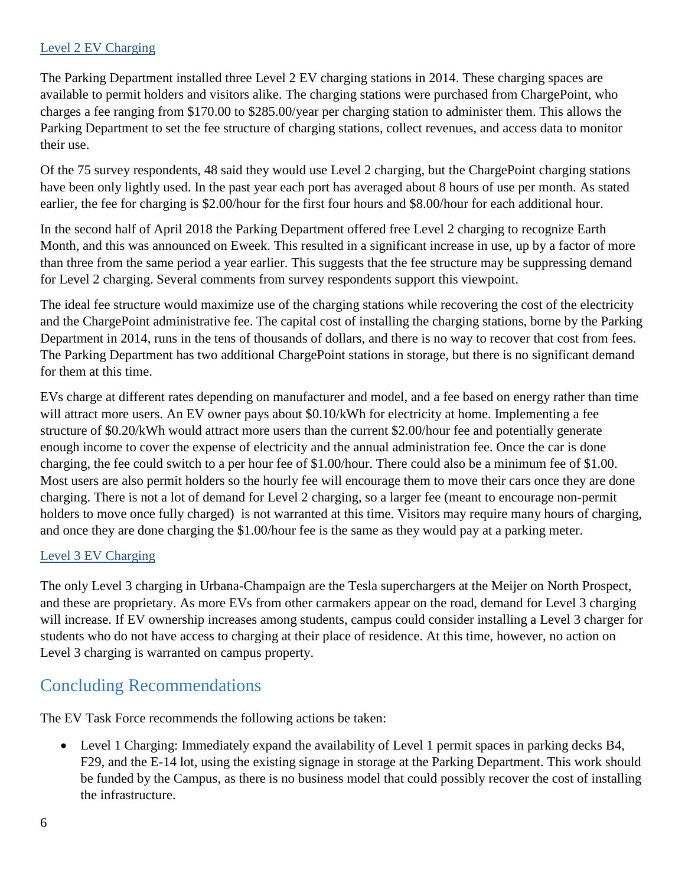#### Level 2 EV Charging

The Parking Department installed three Level 2 EV charging stations in 2014. These charging spaces are available to permit holders and visitors alike. The charging stations were purchased from ChargePoint, who charges a fee ranging from \$170.00 to \$285.00/year per charging station to administer them. This allows the Parking Department to set the fee structure of charging stations, collect revenues, and access data to monitor their use.

Of the 75 survey respondents, 48 said they would use Level 2 charging, but the ChargePoint charging stations have been only lightly used. In the past year each port has averaged about 8 hours of use per month. As stated earlier, the fee for charging is \$2.00/hour for the first four hours and \$8.00/hour for each additional hour.

In the second half of April 2018 the Parking Department offered free Level 2 charging to recognize Earth Month, and this was announced on Eweek. This resulted in a significant increase in use, up by a factor of more than three from the same period a year earlier. This suggests that the fee structure may be suppressing demand for Level 2 charging. Several comments from survey respondents support this viewpoint.

The ideal fee structure would maximize use of the charging stations while recovering the cost of the electricity and the ChargePoint administrative fee. The capital cost of installing the charging stations, borne by the Parking Department in 2014, runs in the tens of thousands of dollars, and there is no way to recover that cost from fees. The Parking Department has two additional ChargePoint stations in storage, but there is no significant demand for them at this time.

EVs charge at different rates depending on manufacturer and model, and a fee based on energy rather than time will attract more users. An EV owner pays about \$0.10/kWh for electricity at home. Implementing a fee structure of \$0.20/kWh would attract more users than the current \$2.00/hour fee and potentially generate enough income to cover the expense of electricity and the annual administration fee. Once the car is done charging, the fee could switch to a per hour fee of \$1.00/hour. There could also be a minimum fee of \$1.00. Most users are also permit holders so the hourly fee will encourage them to move their cars once they are done charging. There is not a lot of demand for Level 2 charging, so a larger fee (meant to encourage non-permit holders to move once fully charged) is not warranted at this time. Visitors may require many hours of charging, and once they are done charging the \$1.00/hour fee is the same as they would pay at a parking meter.

#### Level 3 EV Charging

The only Level 3 charging in Urbana-Champaign are the Tesla superchargers at the Meijer on North Prospect, and these are proprietary. As more EVs from other carmakers appear on the road, demand for Level 3 charging will increase. If EV ownership increases among students, campus could consider installing a Level 3 charger for students who do not have access to charging at their place of residence. At this time, however, no action on Level 3 charging is warranted on campus property.

### Concluding Recommendations

The EV Task Force recommends the following actions be taken:

 Level 1 Charging: Immediately expand the availability of Level 1 permit spaces in parking decks B4, F29, and the E-14 lot, using the existing signage in storage at the Parking Department. This work should be funded by the Campus, as there is no business model that could possibly recover the cost of installing the infrastructure.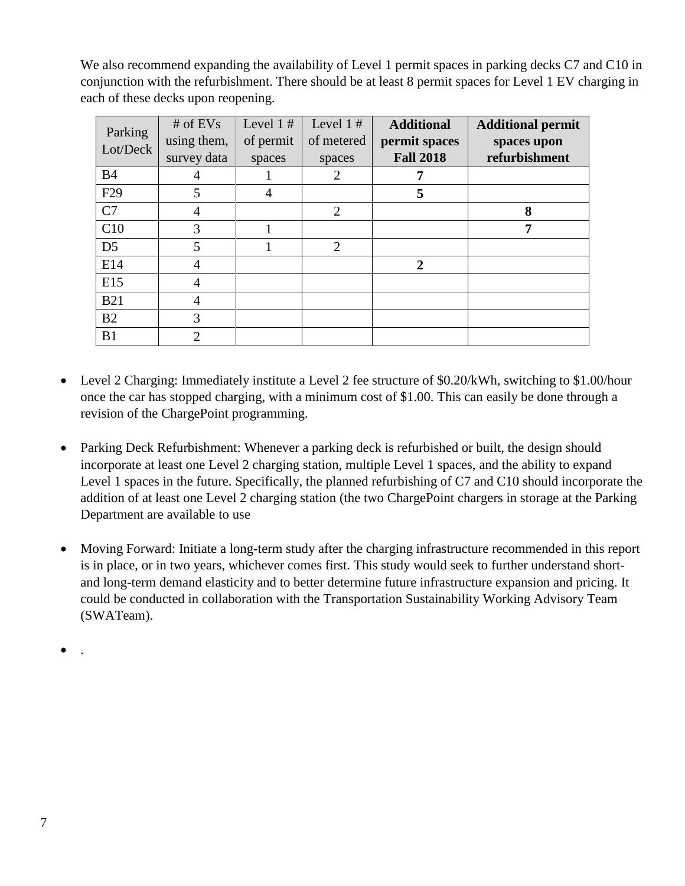We also recommend expanding the availability of Level 1 permit spaces in parking decks C7 and C10 in conjunction with the refurbishment. There should be at least 8 permit spaces for Level 1 EV charging in each of these decks upon reopening.

| Parking<br>Lot/Deck | # of $EVs$<br>using them, | Level $1#$<br>of permit | Level $1#$<br>of metered | <b>Additional</b><br>permit spaces | <b>Additional permit</b><br>spaces upon |
|---------------------|---------------------------|-------------------------|--------------------------|------------------------------------|-----------------------------------------|
|                     | survey data               | spaces                  | spaces                   | <b>Fall 2018</b>                   | refurbishment                           |
| <b>B4</b>           | 4                         |                         | $\overline{2}$           |                                    |                                         |
| F <sub>29</sub>     | 5                         | 4                       |                          | 5                                  |                                         |
| C7                  | 4                         |                         | $\overline{2}$           |                                    | 8                                       |
| C10                 | 3                         |                         |                          |                                    | 7                                       |
| D <sub>5</sub>      | 5                         |                         | $\overline{2}$           |                                    |                                         |
| E14                 | 4                         |                         |                          | $\mathbf 2$                        |                                         |
| E15                 | 4                         |                         |                          |                                    |                                         |
| <b>B21</b>          | 4                         |                         |                          |                                    |                                         |
| B2                  | 3                         |                         |                          |                                    |                                         |
| B1                  | っ                         |                         |                          |                                    |                                         |

- Level 2 Charging: Immediately institute a Level 2 fee structure of \$0.20/kWh, switching to \$1.00/hour once the car has stopped charging, with a minimum cost of \$1.00. This can easily be done through a revision of the ChargePoint programming.
- Parking Deck Refurbishment: Whenever a parking deck is refurbished or built, the design should incorporate at least one Level 2 charging station, multiple Level 1 spaces, and the ability to expand Level 1 spaces in the future. Specifically, the planned refurbishing of C7 and C10 should incorporate the addition of at least one Level 2 charging station (the two ChargePoint chargers in storage at the Parking Department are available to use
- Moving Forward: Initiate a long-term study after the charging infrastructure recommended in this report is in place, or in two years, whichever comes first. This study would seek to further understand shortand long-term demand elasticity and to better determine future infrastructure expansion and pricing. It could be conducted in collaboration with the Transportation Sustainability Working Advisory Team (SWATeam).

 $\bullet$  .